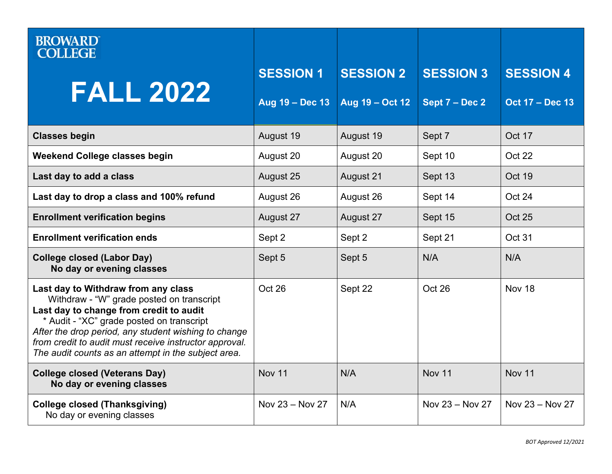| <b>BROWARD</b><br><b>COLLEGE</b>                                                                                                                                                                                                                                                                                                                  |                  |                  |                  |                        |
|---------------------------------------------------------------------------------------------------------------------------------------------------------------------------------------------------------------------------------------------------------------------------------------------------------------------------------------------------|------------------|------------------|------------------|------------------------|
| <b>FALL 2022</b>                                                                                                                                                                                                                                                                                                                                  | <b>SESSION 1</b> | <b>SESSION 2</b> | <b>SESSION 3</b> | <b>SESSION 4</b>       |
|                                                                                                                                                                                                                                                                                                                                                   | Aug 19 - Dec 13  | Aug 19 - Oct 12  | Sept 7 - Dec 2   | <b>Oct 17 - Dec 13</b> |
| <b>Classes begin</b>                                                                                                                                                                                                                                                                                                                              | August 19        | August 19        | Sept 7           | Oct 17                 |
| <b>Weekend College classes begin</b>                                                                                                                                                                                                                                                                                                              | August 20        | August 20        | Sept 10          | Oct 22                 |
| Last day to add a class                                                                                                                                                                                                                                                                                                                           | August 25        | August 21        | Sept 13          | Oct 19                 |
| Last day to drop a class and 100% refund                                                                                                                                                                                                                                                                                                          | August 26        | August 26        | Sept 14          | Oct 24                 |
| <b>Enrollment verification begins</b>                                                                                                                                                                                                                                                                                                             | August 27        | August 27        | Sept 15          | <b>Oct 25</b>          |
| <b>Enrollment verification ends</b>                                                                                                                                                                                                                                                                                                               | Sept 2           | Sept 2           | Sept 21          | Oct 31                 |
| <b>College closed (Labor Day)</b><br>No day or evening classes                                                                                                                                                                                                                                                                                    | Sept 5           | Sept 5           | N/A              | N/A                    |
| Last day to Withdraw from any class<br>Withdraw - "W" grade posted on transcript<br>Last day to change from credit to audit<br>* Audit - "XC" grade posted on transcript<br>After the drop period, any student wishing to change<br>from credit to audit must receive instructor approval.<br>The audit counts as an attempt in the subject area. | Oct 26           | Sept 22          | Oct 26           | Nov 18                 |
| <b>College closed (Veterans Day)</b><br>No day or evening classes                                                                                                                                                                                                                                                                                 | <b>Nov 11</b>    | N/A              | <b>Nov 11</b>    | <b>Nov 11</b>          |
| <b>College closed (Thanksgiving)</b><br>No day or evening classes                                                                                                                                                                                                                                                                                 | Nov 23 - Nov 27  | N/A              | Nov 23 - Nov 27  | Nov 23 - Nov 27        |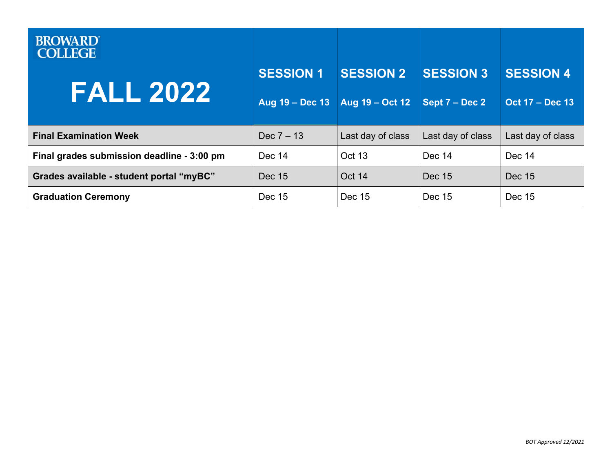| <b>BROWARD</b><br><b>COLLEGE</b>           |                  |                   |                   |                        |
|--------------------------------------------|------------------|-------------------|-------------------|------------------------|
| <b>FALL 2022</b>                           | <b>SESSION 1</b> | <b>SESSION 2</b>  | <b>SESSION 3</b>  | <b>SESSION 4</b>       |
|                                            | Aug 19 - Dec 13  | Aug 19 - Oct 12   | Sept 7 – Dec 2    | <b>Oct 17 - Dec 13</b> |
| <b>Final Examination Week</b>              | Dec $7 - 13$     | Last day of class | Last day of class | Last day of class      |
| Final grades submission deadline - 3:00 pm | Dec 14           | Oct 13            | Dec 14            | Dec 14                 |
| Grades available - student portal "myBC"   | Dec 15           | Oct 14            | Dec 15            | <b>Dec 15</b>          |
| <b>Graduation Ceremony</b>                 | Dec 15           | Dec 15            | Dec 15            | Dec 15                 |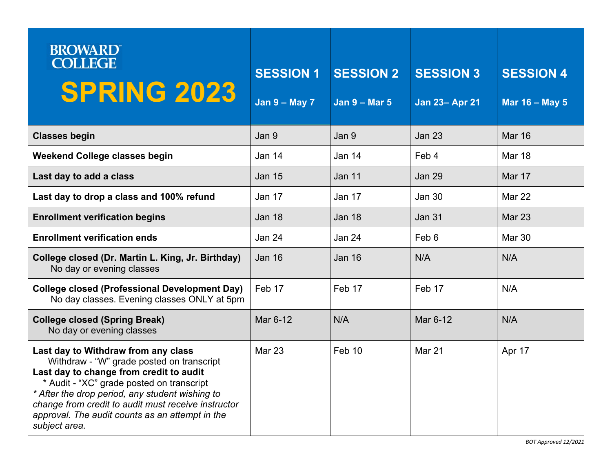| <b>BROWARD</b><br><b>COLLEGE</b><br><b>SPRING 2023</b>                                                                                                                                                                                                                                                                                                 | <b>SESSION 1</b><br>Jan $9 - May 7$ | <b>SESSION 2</b><br>Jan $9 -$ Mar 5 | <b>SESSION 3</b><br><b>Jan 23- Apr 21</b> | <b>SESSION 4</b><br>Mar 16 - May 5 |
|--------------------------------------------------------------------------------------------------------------------------------------------------------------------------------------------------------------------------------------------------------------------------------------------------------------------------------------------------------|-------------------------------------|-------------------------------------|-------------------------------------------|------------------------------------|
| <b>Classes begin</b>                                                                                                                                                                                                                                                                                                                                   | Jan 9                               | Jan 9                               | <b>Jan 23</b>                             | <b>Mar 16</b>                      |
| <b>Weekend College classes begin</b>                                                                                                                                                                                                                                                                                                                   | Jan 14                              | Jan 14                              | Feb 4                                     | Mar 18                             |
| Last day to add a class                                                                                                                                                                                                                                                                                                                                | <b>Jan 15</b>                       | <b>Jan 11</b>                       | <b>Jan 29</b>                             | Mar 17                             |
| Last day to drop a class and 100% refund                                                                                                                                                                                                                                                                                                               | Jan 17                              | Jan 17                              | <b>Jan 30</b>                             | Mar 22                             |
| <b>Enrollment verification begins</b>                                                                                                                                                                                                                                                                                                                  | Jan 18                              | <b>Jan 18</b>                       | <b>Jan 31</b>                             | Mar 23                             |
| <b>Enrollment verification ends</b>                                                                                                                                                                                                                                                                                                                    | Jan 24                              | Jan 24                              | Feb 6                                     | <b>Mar 30</b>                      |
| College closed (Dr. Martin L. King, Jr. Birthday)<br>No day or evening classes                                                                                                                                                                                                                                                                         | Jan 16                              | <b>Jan 16</b>                       | N/A                                       | N/A                                |
| <b>College closed (Professional Development Day)</b><br>No day classes. Evening classes ONLY at 5pm                                                                                                                                                                                                                                                    | Feb 17                              | Feb 17                              | Feb 17                                    | N/A                                |
| <b>College closed (Spring Break)</b><br>No day or evening classes                                                                                                                                                                                                                                                                                      | Mar 6-12                            | N/A                                 | Mar 6-12                                  | N/A                                |
| Last day to Withdraw from any class<br>Withdraw - "W" grade posted on transcript<br>Last day to change from credit to audit<br>* Audit - "XC" grade posted on transcript<br>* After the drop period, any student wishing to<br>change from credit to audit must receive instructor<br>approval. The audit counts as an attempt in the<br>subject area. | Mar 23                              | Feb 10                              | <b>Mar 21</b>                             | Apr 17                             |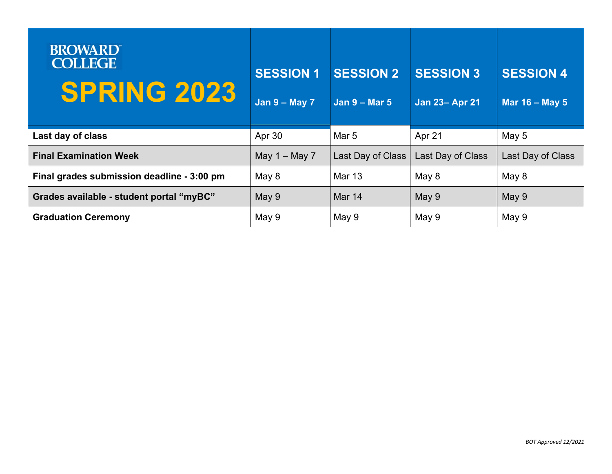| <b>BROWARD</b><br><b>COLLEGE</b><br><b>SPRING 2023</b> | <b>SESSION 1</b><br>Jan $9 - May 7$ | <b>SESSION 2</b><br>Jan $9 -$ Mar 5 | <b>SESSION 3</b><br><b>Jan 23- Apr 21</b> | <b>SESSION 4</b><br>Mar 16 - May 5 |
|--------------------------------------------------------|-------------------------------------|-------------------------------------|-------------------------------------------|------------------------------------|
| Last day of class                                      | Apr 30                              | Mar 5                               | Apr 21                                    | May 5                              |
| <b>Final Examination Week</b>                          | May $1 -$ May 7                     | Last Day of Class                   | Last Day of Class                         | Last Day of Class                  |
| Final grades submission deadline - 3:00 pm             | May 8                               | Mar 13                              | May 8                                     | May 8                              |
| Grades available - student portal "myBC"               | May 9                               | Mar 14                              | May 9                                     | May 9                              |
| <b>Graduation Ceremony</b>                             | May 9                               | May 9                               | May 9                                     | May 9                              |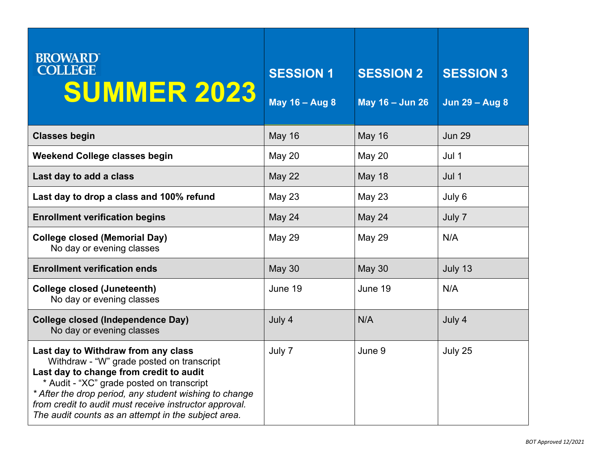| <b>BROWARD</b><br><b>COLLEGE</b><br><b>SUMMER 2023</b>                                                                                                                                                                                                                                                                                              | <b>SESSION 1</b><br>May 16 - Aug 8 | <b>SESSION 2</b><br>May 16 - Jun 26 | <b>SESSION 3</b><br><b>Jun 29 - Aug 8</b> |
|-----------------------------------------------------------------------------------------------------------------------------------------------------------------------------------------------------------------------------------------------------------------------------------------------------------------------------------------------------|------------------------------------|-------------------------------------|-------------------------------------------|
| <b>Classes begin</b>                                                                                                                                                                                                                                                                                                                                | <b>May 16</b>                      | <b>May 16</b>                       | <b>Jun 29</b>                             |
| <b>Weekend College classes begin</b>                                                                                                                                                                                                                                                                                                                | May 20                             | <b>May 20</b>                       | Jul 1                                     |
| Last day to add a class                                                                                                                                                                                                                                                                                                                             | <b>May 22</b>                      | <b>May 18</b>                       | Jul 1                                     |
| Last day to drop a class and 100% refund                                                                                                                                                                                                                                                                                                            | <b>May 23</b>                      | May 23                              | July 6                                    |
| <b>Enrollment verification begins</b>                                                                                                                                                                                                                                                                                                               | May 24                             | May 24                              | July 7                                    |
| <b>College closed (Memorial Day)</b><br>No day or evening classes                                                                                                                                                                                                                                                                                   | <b>May 29</b>                      | <b>May 29</b>                       | N/A                                       |
| <b>Enrollment verification ends</b>                                                                                                                                                                                                                                                                                                                 | <b>May 30</b>                      | <b>May 30</b>                       | July 13                                   |
| <b>College closed (Juneteenth)</b><br>No day or evening classes                                                                                                                                                                                                                                                                                     | June 19                            | June 19                             | N/A                                       |
| <b>College closed (Independence Day)</b><br>No day or evening classes                                                                                                                                                                                                                                                                               | July 4                             | N/A                                 | July 4                                    |
| Last day to Withdraw from any class<br>Withdraw - "W" grade posted on transcript<br>Last day to change from credit to audit<br>* Audit - "XC" grade posted on transcript<br>* After the drop period, any student wishing to change<br>from credit to audit must receive instructor approval.<br>The audit counts as an attempt in the subject area. | July 7                             | June 9                              | July 25                                   |